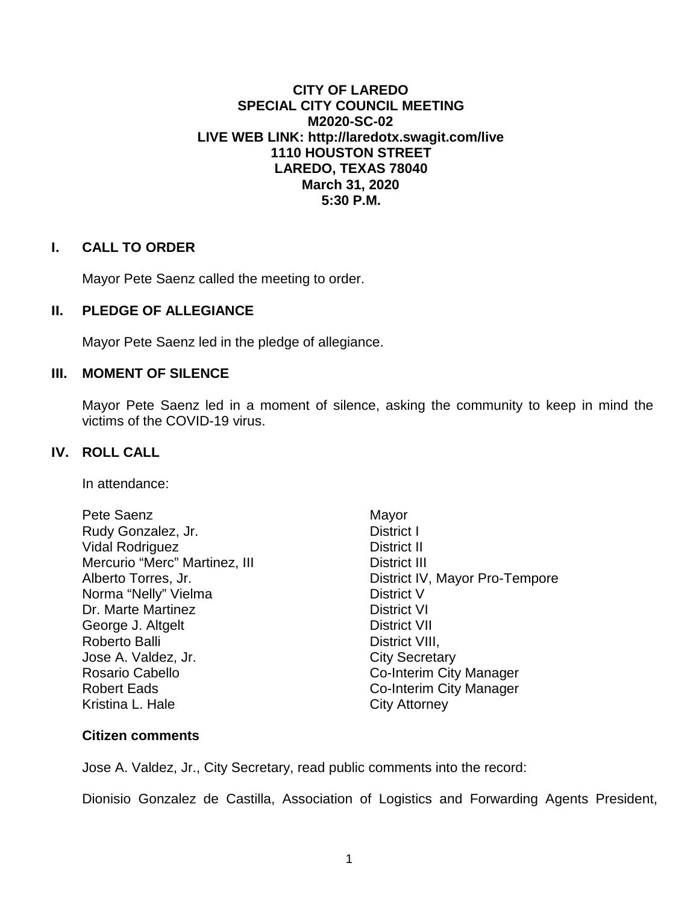# **CITY OF LAREDO SPECIAL CITY COUNCIL MEETING M2020-SC-02 LIVE WEB LINK:<http://laredotx.swagit.com/live> 1110 HOUSTON STREET LAREDO, TEXAS 78040 March 31, 2020 5:30 P.M.**

## **I. CALL TO ORDER**

Mayor Pete Saenz called the meeting to order.

# **II. PLEDGE OF ALLEGIANCE**

Mayor Pete Saenz led in the pledge of allegiance.

# **III. MOMENT OF SILENCE**

Mayor Pete Saenz led in a moment of silence, asking the community to keep in mind the victims of the COVID-19 virus.

### **IV. ROLL CALL**

In attendance:

| Pete Saenz                    | Mayor                          |
|-------------------------------|--------------------------------|
| Rudy Gonzalez, Jr.            | District I                     |
| <b>Vidal Rodriguez</b>        | District II                    |
| Mercurio "Merc" Martinez, III | District III                   |
| Alberto Torres, Jr.           | District IV, Mayor Pro-Tempore |
| Norma "Nelly" Vielma          | <b>District V</b>              |
| Dr. Marte Martinez            | <b>District VI</b>             |
| George J. Altgelt             | <b>District VII</b>            |
| Roberto Balli                 | District VIII,                 |
| Jose A. Valdez, Jr.           | <b>City Secretary</b>          |
| Rosario Cabello               | Co-Interim City Manager        |
| <b>Robert Eads</b>            | Co-Interim City Manager        |
| Kristina L. Hale              | City Attorney                  |
|                               |                                |

#### **Citizen comments**

Jose A. Valdez, Jr., City Secretary, read public comments into the record:

Dionisio Gonzalez de Castilla, Association of Logistics and Forwarding Agents President,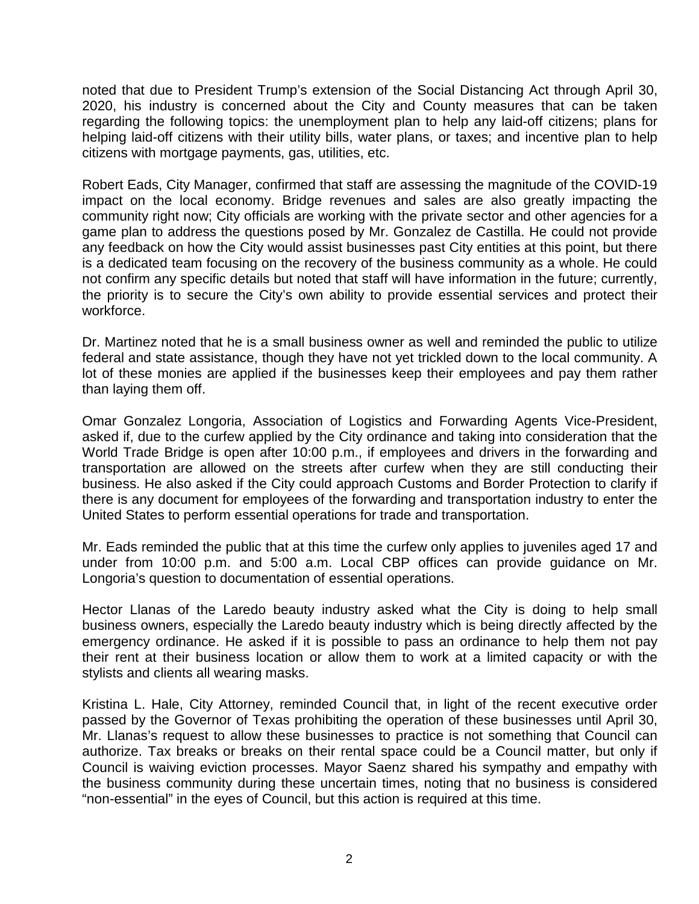noted that due to President Trump's extension of the Social Distancing Act through April 30, 2020, his industry is concerned about the City and County measures that can be taken regarding the following topics: the unemployment plan to help any laid-off citizens; plans for helping laid-off citizens with their utility bills, water plans, or taxes; and incentive plan to help citizens with mortgage payments, gas, utilities, etc.

Robert Eads, City Manager, confirmed that staff are assessing the magnitude of the COVID-19 impact on the local economy. Bridge revenues and sales are also greatly impacting the community right now; City officials are working with the private sector and other agencies for a game plan to address the questions posed by Mr. Gonzalez de Castilla. He could not provide any feedback on how the City would assist businesses past City entities at this point, but there is a dedicated team focusing on the recovery of the business community as a whole. He could not confirm any specific details but noted that staff will have information in the future; currently, the priority is to secure the City's own ability to provide essential services and protect their workforce.

Dr. Martinez noted that he is a small business owner as well and reminded the public to utilize federal and state assistance, though they have not yet trickled down to the local community. A lot of these monies are applied if the businesses keep their employees and pay them rather than laying them off.

Omar Gonzalez Longoria, Association of Logistics and Forwarding Agents Vice-President, asked if, due to the curfew applied by the City ordinance and taking into consideration that the World Trade Bridge is open after 10:00 p.m., if employees and drivers in the forwarding and transportation are allowed on the streets after curfew when they are still conducting their business. He also asked if the City could approach Customs and Border Protection to clarify if there is any document for employees of the forwarding and transportation industry to enter the United States to perform essential operations for trade and transportation.

Mr. Eads reminded the public that at this time the curfew only applies to juveniles aged 17 and under from 10:00 p.m. and 5:00 a.m. Local CBP offices can provide guidance on Mr. Longoria's question to documentation of essential operations.

Hector Llanas of the Laredo beauty industry asked what the City is doing to help small business owners, especially the Laredo beauty industry which is being directly affected by the emergency ordinance. He asked if it is possible to pass an ordinance to help them not pay their rent at their business location or allow them to work at a limited capacity or with the stylists and clients all wearing masks.

Kristina L. Hale, City Attorney, reminded Council that, in light of the recent executive order passed by the Governor of Texas prohibiting the operation of these businesses until April 30, Mr. Llanas's request to allow these businesses to practice is not something that Council can authorize. Tax breaks or breaks on their rental space could be a Council matter, but only if Council is waiving eviction processes. Mayor Saenz shared his sympathy and empathy with the business community during these uncertain times, noting that no business is considered "non-essential" in the eyes of Council, but this action is required at this time.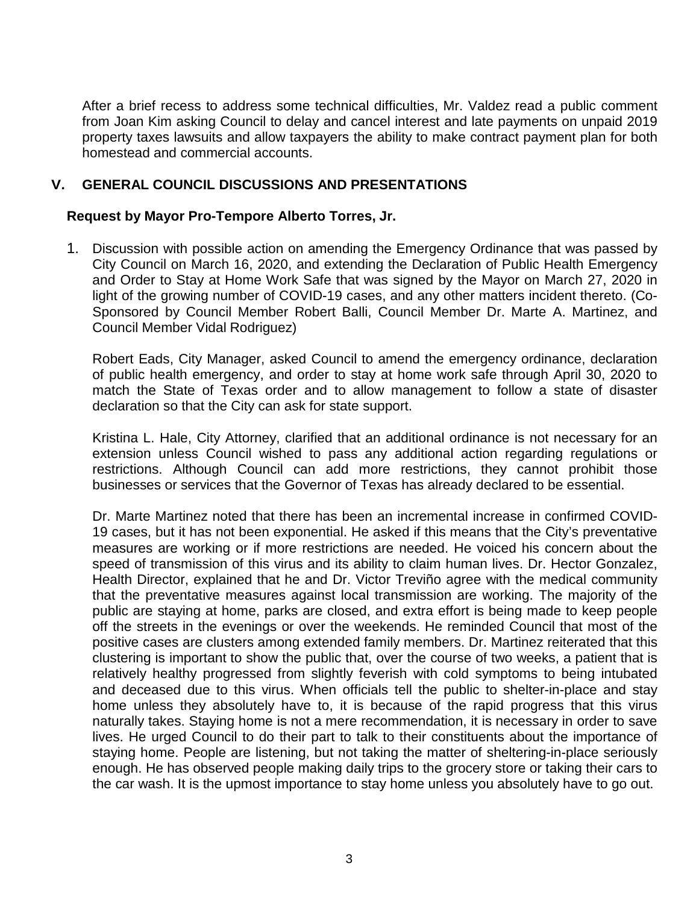After a brief recess to address some technical difficulties, Mr. Valdez read a public comment from Joan Kim asking Council to delay and cancel interest and late payments on unpaid 2019 property taxes lawsuits and allow taxpayers the ability to make contract payment plan for both homestead and commercial accounts.

# **V. GENERAL COUNCIL DISCUSSIONS AND PRESENTATIONS**

# **Request by Mayor Pro-Tempore Alberto Torres, Jr.**

1. Discussion with possible action on amending the Emergency Ordinance that was passed by City Council on March 16, 2020, and extending the Declaration of Public Health Emergency and Order to Stay at Home Work Safe that was signed by the Mayor on March 27, 2020 in light of the growing number of COVID-19 cases, and any other matters incident thereto. (Co-Sponsored by Council Member Robert Balli, Council Member Dr. Marte A. Martinez, and Council Member Vidal Rodriguez)

Robert Eads, City Manager, asked Council to amend the emergency ordinance, declaration of public health emergency, and order to stay at home work safe through April 30, 2020 to match the State of Texas order and to allow management to follow a state of disaster declaration so that the City can ask for state support.

Kristina L. Hale, City Attorney, clarified that an additional ordinance is not necessary for an extension unless Council wished to pass any additional action regarding regulations or restrictions. Although Council can add more restrictions, they cannot prohibit those businesses or services that the Governor of Texas has already declared to be essential.

Dr. Marte Martinez noted that there has been an incremental increase in confirmed COVID-19 cases, but it has not been exponential. He asked if this means that the City's preventative measures are working or if more restrictions are needed. He voiced his concern about the speed of transmission of this virus and its ability to claim human lives. Dr. Hector Gonzalez, Health Director, explained that he and Dr. Victor Treviño agree with the medical community that the preventative measures against local transmission are working. The majority of the public are staying at home, parks are closed, and extra effort is being made to keep people off the streets in the evenings or over the weekends. He reminded Council that most of the positive cases are clusters among extended family members. Dr. Martinez reiterated that this clustering is important to show the public that, over the course of two weeks, a patient that is relatively healthy progressed from slightly feverish with cold symptoms to being intubated and deceased due to this virus. When officials tell the public to shelter-in-place and stay home unless they absolutely have to, it is because of the rapid progress that this virus naturally takes. Staying home is not a mere recommendation, it is necessary in order to save lives. He urged Council to do their part to talk to their constituents about the importance of staying home. People are listening, but not taking the matter of sheltering-in-place seriously enough. He has observed people making daily trips to the grocery store or taking their cars to the car wash. It is the upmost importance to stay home unless you absolutely have to go out.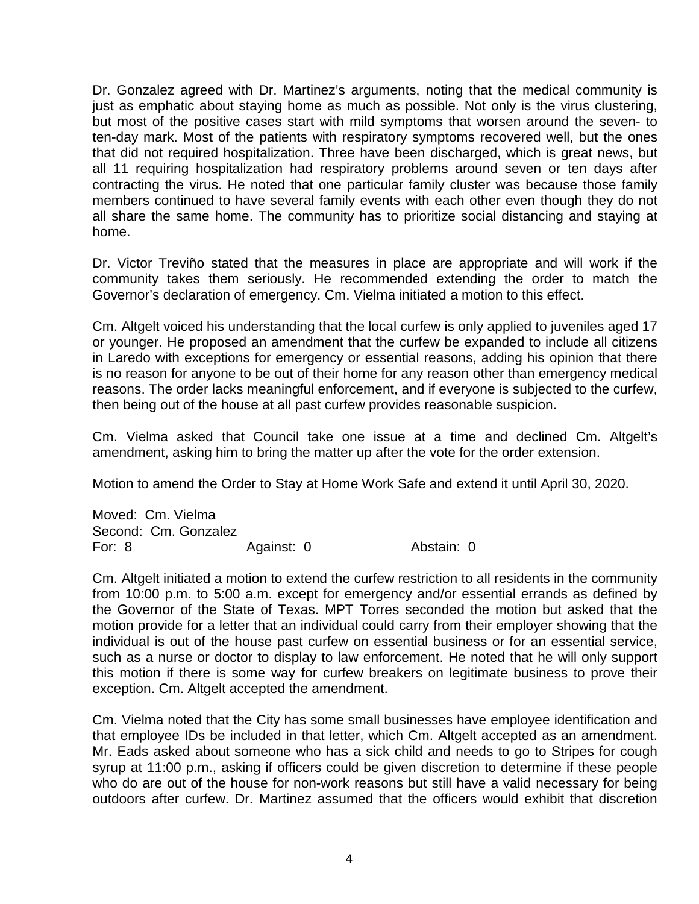Dr. Gonzalez agreed with Dr. Martinez's arguments, noting that the medical community is just as emphatic about staying home as much as possible. Not only is the virus clustering, but most of the positive cases start with mild symptoms that worsen around the seven- to ten-day mark. Most of the patients with respiratory symptoms recovered well, but the ones that did not required hospitalization. Three have been discharged, which is great news, but all 11 requiring hospitalization had respiratory problems around seven or ten days after contracting the virus. He noted that one particular family cluster was because those family members continued to have several family events with each other even though they do not all share the same home. The community has to prioritize social distancing and staying at home.

Dr. Victor Treviño stated that the measures in place are appropriate and will work if the community takes them seriously. He recommended extending the order to match the Governor's declaration of emergency. Cm. Vielma initiated a motion to this effect.

Cm. Altgelt voiced his understanding that the local curfew is only applied to juveniles aged 17 or younger. He proposed an amendment that the curfew be expanded to include all citizens in Laredo with exceptions for emergency or essential reasons, adding his opinion that there is no reason for anyone to be out of their home for any reason other than emergency medical reasons. The order lacks meaningful enforcement, and if everyone is subjected to the curfew, then being out of the house at all past curfew provides reasonable suspicion.

Cm. Vielma asked that Council take one issue at a time and declined Cm. Altgelt's amendment, asking him to bring the matter up after the vote for the order extension.

Motion to amend the Order to Stay at Home Work Safe and extend it until April 30, 2020.

Moved: Cm. Vielma Second: Cm. Gonzalez For: 8 Against: 0 Abstain: 0

Cm. Altgelt initiated a motion to extend the curfew restriction to all residents in the community from 10:00 p.m. to 5:00 a.m. except for emergency and/or essential errands as defined by the Governor of the State of Texas. MPT Torres seconded the motion but asked that the motion provide for a letter that an individual could carry from their employer showing that the individual is out of the house past curfew on essential business or for an essential service, such as a nurse or doctor to display to law enforcement. He noted that he will only support this motion if there is some way for curfew breakers on legitimate business to prove their exception. Cm. Altgelt accepted the amendment.

Cm. Vielma noted that the City has some small businesses have employee identification and that employee IDs be included in that letter, which Cm. Altgelt accepted as an amendment. Mr. Eads asked about someone who has a sick child and needs to go to Stripes for cough syrup at 11:00 p.m., asking if officers could be given discretion to determine if these people who do are out of the house for non-work reasons but still have a valid necessary for being outdoors after curfew. Dr. Martinez assumed that the officers would exhibit that discretion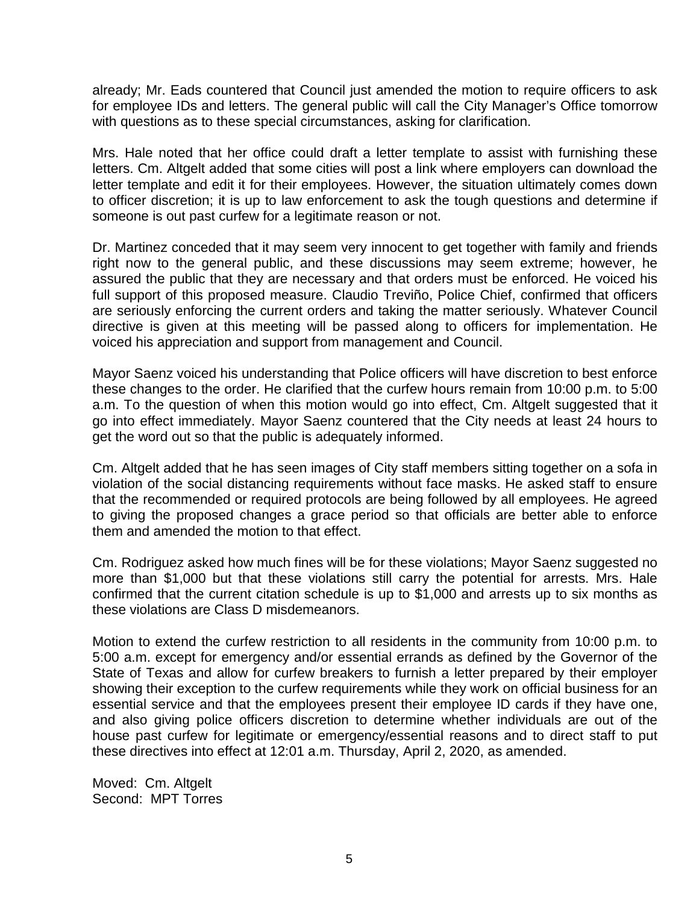already; Mr. Eads countered that Council just amended the motion to require officers to ask for employee IDs and letters. The general public will call the City Manager's Office tomorrow with questions as to these special circumstances, asking for clarification.

Mrs. Hale noted that her office could draft a letter template to assist with furnishing these letters. Cm. Altgelt added that some cities will post a link where employers can download the letter template and edit it for their employees. However, the situation ultimately comes down to officer discretion; it is up to law enforcement to ask the tough questions and determine if someone is out past curfew for a legitimate reason or not.

Dr. Martinez conceded that it may seem very innocent to get together with family and friends right now to the general public, and these discussions may seem extreme; however, he assured the public that they are necessary and that orders must be enforced. He voiced his full support of this proposed measure. Claudio Treviño, Police Chief, confirmed that officers are seriously enforcing the current orders and taking the matter seriously. Whatever Council directive is given at this meeting will be passed along to officers for implementation. He voiced his appreciation and support from management and Council.

Mayor Saenz voiced his understanding that Police officers will have discretion to best enforce these changes to the order. He clarified that the curfew hours remain from 10:00 p.m. to 5:00 a.m. To the question of when this motion would go into effect, Cm. Altgelt suggested that it go into effect immediately. Mayor Saenz countered that the City needs at least 24 hours to get the word out so that the public is adequately informed.

Cm. Altgelt added that he has seen images of City staff members sitting together on a sofa in violation of the social distancing requirements without face masks. He asked staff to ensure that the recommended or required protocols are being followed by all employees. He agreed to giving the proposed changes a grace period so that officials are better able to enforce them and amended the motion to that effect.

Cm. Rodriguez asked how much fines will be for these violations; Mayor Saenz suggested no more than \$1,000 but that these violations still carry the potential for arrests. Mrs. Hale confirmed that the current citation schedule is up to \$1,000 and arrests up to six months as these violations are Class D misdemeanors.

Motion to extend the curfew restriction to all residents in the community from 10:00 p.m. to 5:00 a.m. except for emergency and/or essential errands as defined by the Governor of the State of Texas and allow for curfew breakers to furnish a letter prepared by their employer showing their exception to the curfew requirements while they work on official business for an essential service and that the employees present their employee ID cards if they have one, and also giving police officers discretion to determine whether individuals are out of the house past curfew for legitimate or emergency/essential reasons and to direct staff to put these directives into effect at 12:01 a.m. Thursday, April 2, 2020, as amended.

Moved: Cm. Altgelt Second: MPT Torres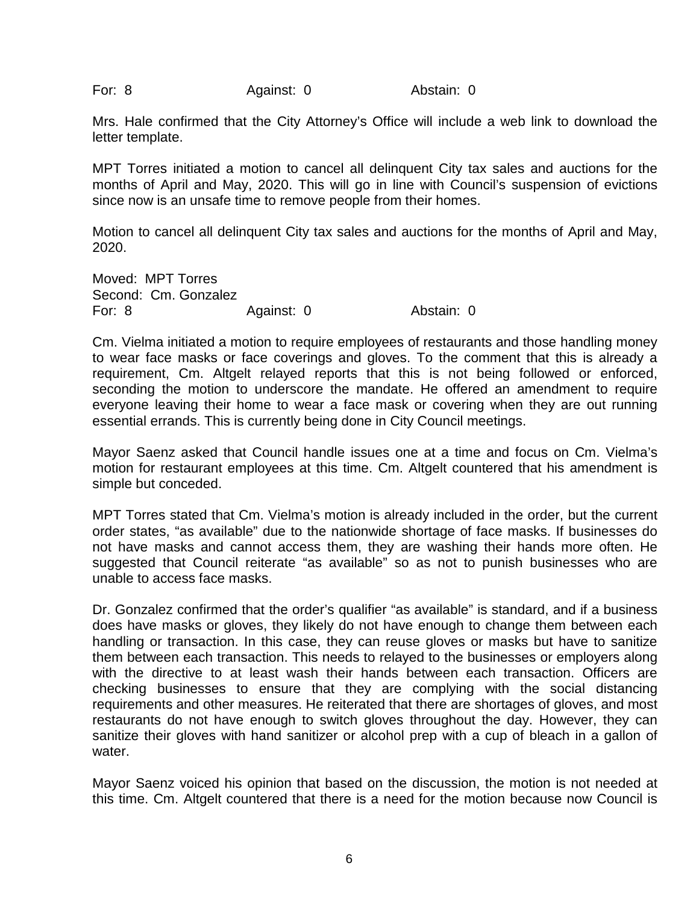For: 8 Against: 0 Abstain: 0

Mrs. Hale confirmed that the City Attorney's Office will include a web link to download the letter template.

MPT Torres initiated a motion to cancel all delinquent City tax sales and auctions for the months of April and May, 2020. This will go in line with Council's suspension of evictions since now is an unsafe time to remove people from their homes.

Motion to cancel all delinquent City tax sales and auctions for the months of April and May, 2020.

Moved: MPT Torres Second: Cm. Gonzalez For: 8 Against: 0 Abstain: 0

Cm. Vielma initiated a motion to require employees of restaurants and those handling money to wear face masks or face coverings and gloves. To the comment that this is already a requirement, Cm. Altgelt relayed reports that this is not being followed or enforced, seconding the motion to underscore the mandate. He offered an amendment to require everyone leaving their home to wear a face mask or covering when they are out running essential errands. This is currently being done in City Council meetings.

Mayor Saenz asked that Council handle issues one at a time and focus on Cm. Vielma's motion for restaurant employees at this time. Cm. Altgelt countered that his amendment is simple but conceded.

MPT Torres stated that Cm. Vielma's motion is already included in the order, but the current order states, "as available" due to the nationwide shortage of face masks. If businesses do not have masks and cannot access them, they are washing their hands more often. He suggested that Council reiterate "as available" so as not to punish businesses who are unable to access face masks.

Dr. Gonzalez confirmed that the order's qualifier "as available" is standard, and if a business does have masks or gloves, they likely do not have enough to change them between each handling or transaction. In this case, they can reuse gloves or masks but have to sanitize them between each transaction. This needs to relayed to the businesses or employers along with the directive to at least wash their hands between each transaction. Officers are checking businesses to ensure that they are complying with the social distancing requirements and other measures. He reiterated that there are shortages of gloves, and most restaurants do not have enough to switch gloves throughout the day. However, they can sanitize their gloves with hand sanitizer or alcohol prep with a cup of bleach in a gallon of water.

Mayor Saenz voiced his opinion that based on the discussion, the motion is not needed at this time. Cm. Altgelt countered that there is a need for the motion because now Council is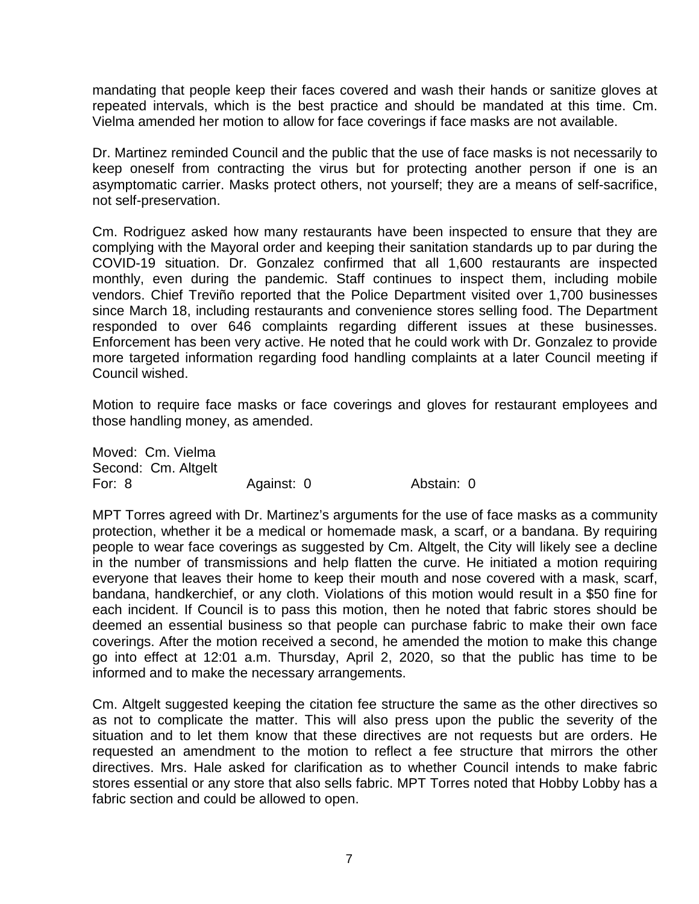mandating that people keep their faces covered and wash their hands or sanitize gloves at repeated intervals, which is the best practice and should be mandated at this time. Cm. Vielma amended her motion to allow for face coverings if face masks are not available.

Dr. Martinez reminded Council and the public that the use of face masks is not necessarily to keep oneself from contracting the virus but for protecting another person if one is an asymptomatic carrier. Masks protect others, not yourself; they are a means of self-sacrifice, not self-preservation.

Cm. Rodriguez asked how many restaurants have been inspected to ensure that they are complying with the Mayoral order and keeping their sanitation standards up to par during the COVID-19 situation. Dr. Gonzalez confirmed that all 1,600 restaurants are inspected monthly, even during the pandemic. Staff continues to inspect them, including mobile vendors. Chief Treviño reported that the Police Department visited over 1,700 businesses since March 18, including restaurants and convenience stores selling food. The Department responded to over 646 complaints regarding different issues at these businesses. Enforcement has been very active. He noted that he could work with Dr. Gonzalez to provide more targeted information regarding food handling complaints at a later Council meeting if Council wished.

Motion to require face masks or face coverings and gloves for restaurant employees and those handling money, as amended.

Moved: Cm. Vielma Second: Cm. Altgelt For: 8 Against: 0 Abstain: 0

MPT Torres agreed with Dr. Martinez's arguments for the use of face masks as a community protection, whether it be a medical or homemade mask, a scarf, or a bandana. By requiring people to wear face coverings as suggested by Cm. Altgelt, the City will likely see a decline in the number of transmissions and help flatten the curve. He initiated a motion requiring everyone that leaves their home to keep their mouth and nose covered with a mask, scarf, bandana, handkerchief, or any cloth. Violations of this motion would result in a \$50 fine for each incident. If Council is to pass this motion, then he noted that fabric stores should be deemed an essential business so that people can purchase fabric to make their own face coverings. After the motion received a second, he amended the motion to make this change go into effect at 12:01 a.m. Thursday, April 2, 2020, so that the public has time to be informed and to make the necessary arrangements.

Cm. Altgelt suggested keeping the citation fee structure the same as the other directives so as not to complicate the matter. This will also press upon the public the severity of the situation and to let them know that these directives are not requests but are orders. He requested an amendment to the motion to reflect a fee structure that mirrors the other directives. Mrs. Hale asked for clarification as to whether Council intends to make fabric stores essential or any store that also sells fabric. MPT Torres noted that Hobby Lobby has a fabric section and could be allowed to open.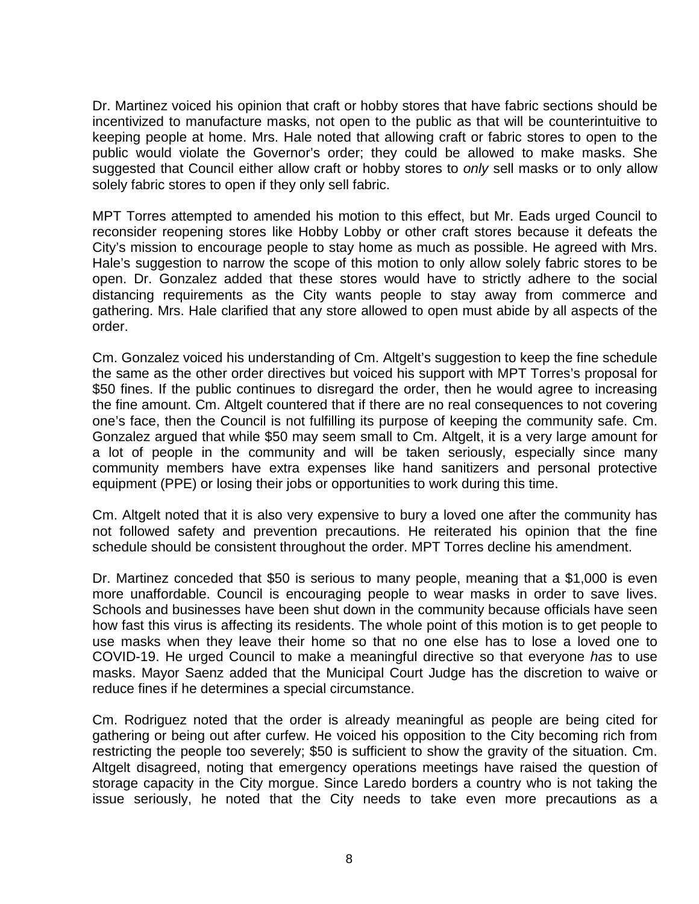Dr. Martinez voiced his opinion that craft or hobby stores that have fabric sections should be incentivized to manufacture masks, not open to the public as that will be counterintuitive to keeping people at home. Mrs. Hale noted that allowing craft or fabric stores to open to the public would violate the Governor's order; they could be allowed to make masks. She suggested that Council either allow craft or hobby stores to *only* sell masks or to only allow solely fabric stores to open if they only sell fabric.

MPT Torres attempted to amended his motion to this effect, but Mr. Eads urged Council to reconsider reopening stores like Hobby Lobby or other craft stores because it defeats the City's mission to encourage people to stay home as much as possible. He agreed with Mrs. Hale's suggestion to narrow the scope of this motion to only allow solely fabric stores to be open. Dr. Gonzalez added that these stores would have to strictly adhere to the social distancing requirements as the City wants people to stay away from commerce and gathering. Mrs. Hale clarified that any store allowed to open must abide by all aspects of the order.

Cm. Gonzalez voiced his understanding of Cm. Altgelt's suggestion to keep the fine schedule the same as the other order directives but voiced his support with MPT Torres's proposal for \$50 fines. If the public continues to disregard the order, then he would agree to increasing the fine amount. Cm. Altgelt countered that if there are no real consequences to not covering one's face, then the Council is not fulfilling its purpose of keeping the community safe. Cm. Gonzalez argued that while \$50 may seem small to Cm. Altgelt, it is a very large amount for a lot of people in the community and will be taken seriously, especially since many community members have extra expenses like hand sanitizers and personal protective equipment (PPE) or losing their jobs or opportunities to work during this time.

Cm. Altgelt noted that it is also very expensive to bury a loved one after the community has not followed safety and prevention precautions. He reiterated his opinion that the fine schedule should be consistent throughout the order. MPT Torres decline his amendment.

Dr. Martinez conceded that \$50 is serious to many people, meaning that a \$1,000 is even more unaffordable. Council is encouraging people to wear masks in order to save lives. Schools and businesses have been shut down in the community because officials have seen how fast this virus is affecting its residents. The whole point of this motion is to get people to use masks when they leave their home so that no one else has to lose a loved one to COVID-19. He urged Council to make a meaningful directive so that everyone *has* to use masks. Mayor Saenz added that the Municipal Court Judge has the discretion to waive or reduce fines if he determines a special circumstance.

Cm. Rodriguez noted that the order is already meaningful as people are being cited for gathering or being out after curfew. He voiced his opposition to the City becoming rich from restricting the people too severely; \$50 is sufficient to show the gravity of the situation. Cm. Altgelt disagreed, noting that emergency operations meetings have raised the question of storage capacity in the City morgue. Since Laredo borders a country who is not taking the issue seriously, he noted that the City needs to take even more precautions as a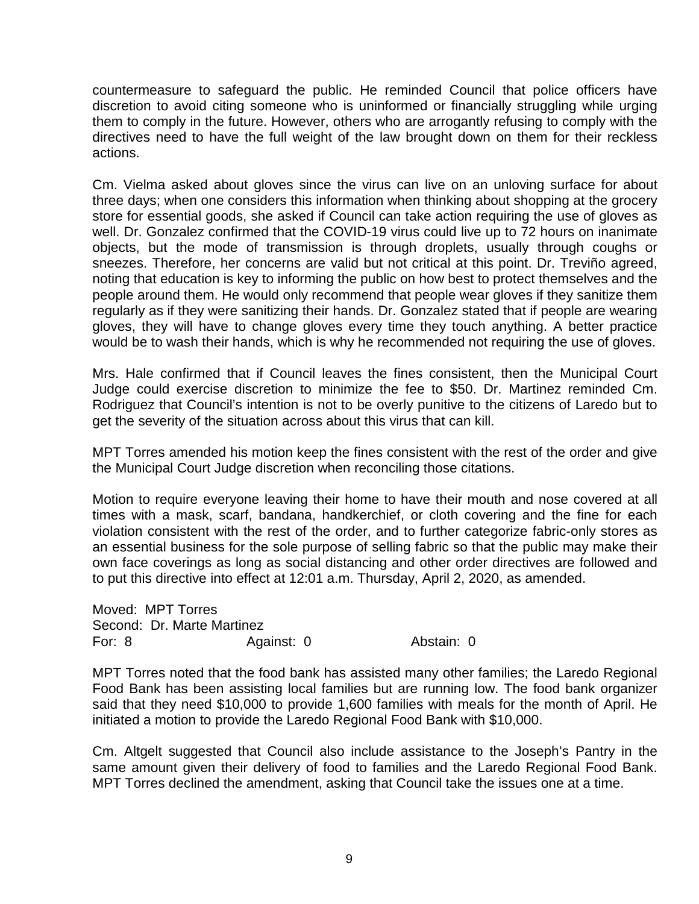countermeasure to safeguard the public. He reminded Council that police officers have discretion to avoid citing someone who is uninformed or financially struggling while urging them to comply in the future. However, others who are arrogantly refusing to comply with the directives need to have the full weight of the law brought down on them for their reckless actions.

Cm. Vielma asked about gloves since the virus can live on an unloving surface for about three days; when one considers this information when thinking about shopping at the grocery store for essential goods, she asked if Council can take action requiring the use of gloves as well. Dr. Gonzalez confirmed that the COVID-19 virus could live up to 72 hours on inanimate objects, but the mode of transmission is through droplets, usually through coughs or sneezes. Therefore, her concerns are valid but not critical at this point. Dr. Treviño agreed, noting that education is key to informing the public on how best to protect themselves and the people around them. He would only recommend that people wear gloves if they sanitize them regularly as if they were sanitizing their hands. Dr. Gonzalez stated that if people are wearing gloves, they will have to change gloves every time they touch anything. A better practice would be to wash their hands, which is why he recommended not requiring the use of gloves.

Mrs. Hale confirmed that if Council leaves the fines consistent, then the Municipal Court Judge could exercise discretion to minimize the fee to \$50. Dr. Martinez reminded Cm. Rodriguez that Council's intention is not to be overly punitive to the citizens of Laredo but to get the severity of the situation across about this virus that can kill.

MPT Torres amended his motion keep the fines consistent with the rest of the order and give the Municipal Court Judge discretion when reconciling those citations.

Motion to require everyone leaving their home to have their mouth and nose covered at all times with a mask, scarf, bandana, handkerchief, or cloth covering and the fine for each violation consistent with the rest of the order, and to further categorize fabric-only stores as an essential business for the sole purpose of selling fabric so that the public may make their own face coverings as long as social distancing and other order directives are followed and to put this directive into effect at 12:01 a.m. Thursday, April 2, 2020, as amended.

Moved: MPT Torres Second: Dr. Marte Martinez For: 8 **Against: 0** Abstain: 0

MPT Torres noted that the food bank has assisted many other families; the Laredo Regional Food Bank has been assisting local families but are running low. The food bank organizer said that they need \$10,000 to provide 1,600 families with meals for the month of April. He initiated a motion to provide the Laredo Regional Food Bank with \$10,000.

Cm. Altgelt suggested that Council also include assistance to the Joseph's Pantry in the same amount given their delivery of food to families and the Laredo Regional Food Bank. MPT Torres declined the amendment, asking that Council take the issues one at a time.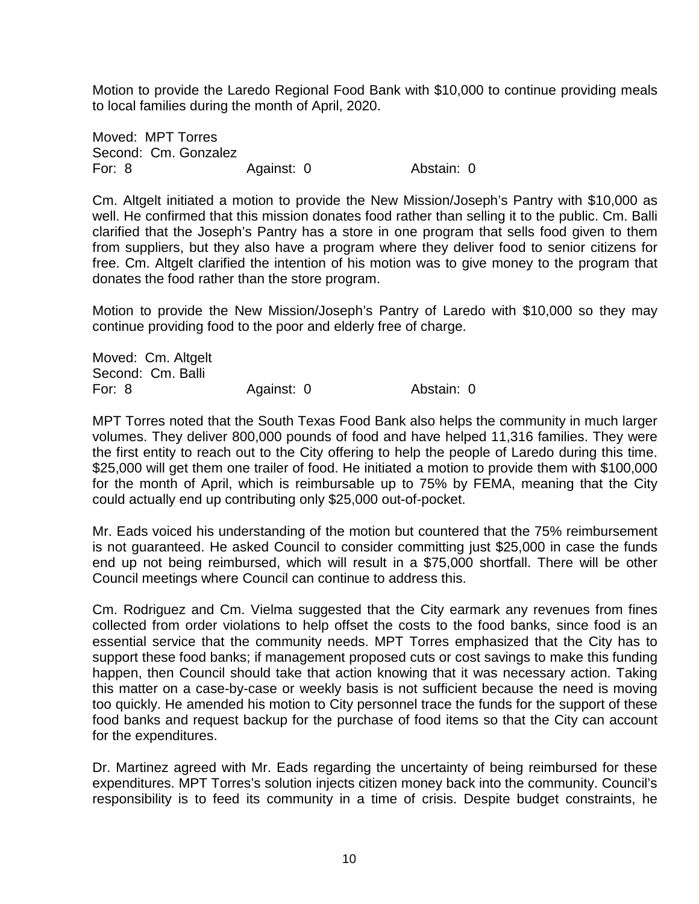Motion to provide the Laredo Regional Food Bank with \$10,000 to continue providing meals to local families during the month of April, 2020.

Moved: MPT Torres Second: Cm. Gonzalez For: 8 **Against: 0** Abstain: 0

Cm. Altgelt initiated a motion to provide the New Mission/Joseph's Pantry with \$10,000 as well. He confirmed that this mission donates food rather than selling it to the public. Cm. Balli clarified that the Joseph's Pantry has a store in one program that sells food given to them from suppliers, but they also have a program where they deliver food to senior citizens for free. Cm. Altgelt clarified the intention of his motion was to give money to the program that donates the food rather than the store program.

Motion to provide the New Mission/Joseph's Pantry of Laredo with \$10,000 so they may continue providing food to the poor and elderly free of charge.

| Moved: Cm. Altgelt |            |            |
|--------------------|------------|------------|
| Second: Cm. Balli  |            |            |
| For: 8             | Against: 0 | Abstain: 0 |

MPT Torres noted that the South Texas Food Bank also helps the community in much larger volumes. They deliver 800,000 pounds of food and have helped 11,316 families. They were the first entity to reach out to the City offering to help the people of Laredo during this time. \$25,000 will get them one trailer of food. He initiated a motion to provide them with \$100,000 for the month of April, which is reimbursable up to 75% by FEMA, meaning that the City could actually end up contributing only \$25,000 out-of-pocket.

Mr. Eads voiced his understanding of the motion but countered that the 75% reimbursement is not guaranteed. He asked Council to consider committing just \$25,000 in case the funds end up not being reimbursed, which will result in a \$75,000 shortfall. There will be other Council meetings where Council can continue to address this.

Cm. Rodriguez and Cm. Vielma suggested that the City earmark any revenues from fines collected from order violations to help offset the costs to the food banks, since food is an essential service that the community needs. MPT Torres emphasized that the City has to support these food banks; if management proposed cuts or cost savings to make this funding happen, then Council should take that action knowing that it was necessary action. Taking this matter on a case-by-case or weekly basis is not sufficient because the need is moving too quickly. He amended his motion to City personnel trace the funds for the support of these food banks and request backup for the purchase of food items so that the City can account for the expenditures.

Dr. Martinez agreed with Mr. Eads regarding the uncertainty of being reimbursed for these expenditures. MPT Torres's solution injects citizen money back into the community. Council's responsibility is to feed its community in a time of crisis. Despite budget constraints, he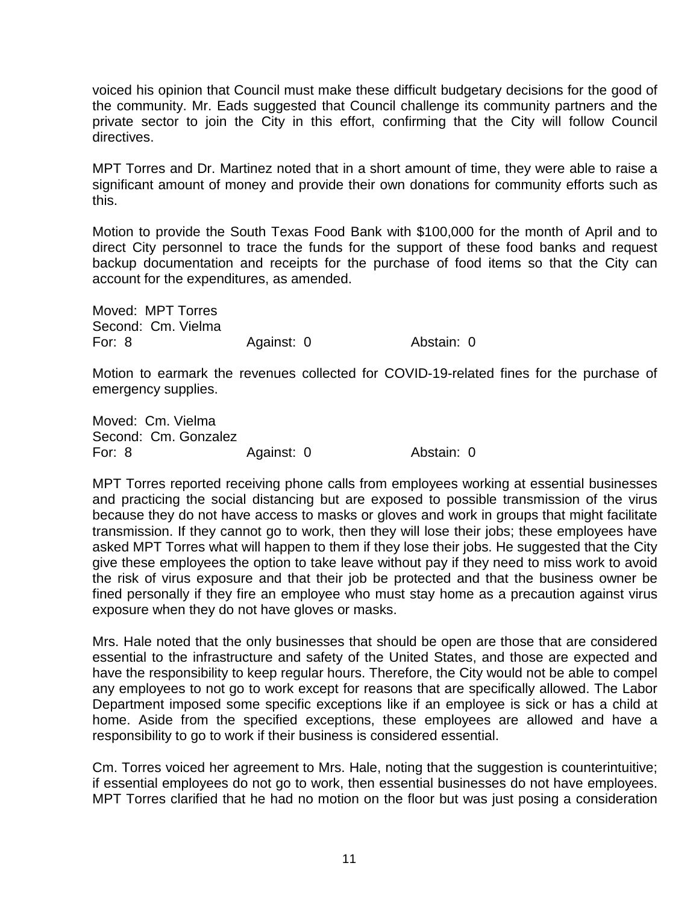voiced his opinion that Council must make these difficult budgetary decisions for the good of the community. Mr. Eads suggested that Council challenge its community partners and the private sector to join the City in this effort, confirming that the City will follow Council directives.

MPT Torres and Dr. Martinez noted that in a short amount of time, they were able to raise a significant amount of money and provide their own donations for community efforts such as this.

Motion to provide the South Texas Food Bank with \$100,000 for the month of April and to direct City personnel to trace the funds for the support of these food banks and request backup documentation and receipts for the purchase of food items so that the City can account for the expenditures, as amended.

Moved: MPT Torres Second: Cm. Vielma For: 8 Against: 0 Abstain: 0

Motion to earmark the revenues collected for COVID-19-related fines for the purchase of emergency supplies.

Moved: Cm. Vielma Second: Cm. Gonzalez For: 8 Against: 0 Abstain: 0

MPT Torres reported receiving phone calls from employees working at essential businesses and practicing the social distancing but are exposed to possible transmission of the virus because they do not have access to masks or gloves and work in groups that might facilitate transmission. If they cannot go to work, then they will lose their jobs; these employees have asked MPT Torres what will happen to them if they lose their jobs. He suggested that the City give these employees the option to take leave without pay if they need to miss work to avoid the risk of virus exposure and that their job be protected and that the business owner be fined personally if they fire an employee who must stay home as a precaution against virus exposure when they do not have gloves or masks.

Mrs. Hale noted that the only businesses that should be open are those that are considered essential to the infrastructure and safety of the United States, and those are expected and have the responsibility to keep regular hours. Therefore, the City would not be able to compel any employees to not go to work except for reasons that are specifically allowed. The Labor Department imposed some specific exceptions like if an employee is sick or has a child at home. Aside from the specified exceptions, these employees are allowed and have a responsibility to go to work if their business is considered essential.

Cm. Torres voiced her agreement to Mrs. Hale, noting that the suggestion is counterintuitive; if essential employees do not go to work, then essential businesses do not have employees. MPT Torres clarified that he had no motion on the floor but was just posing a consideration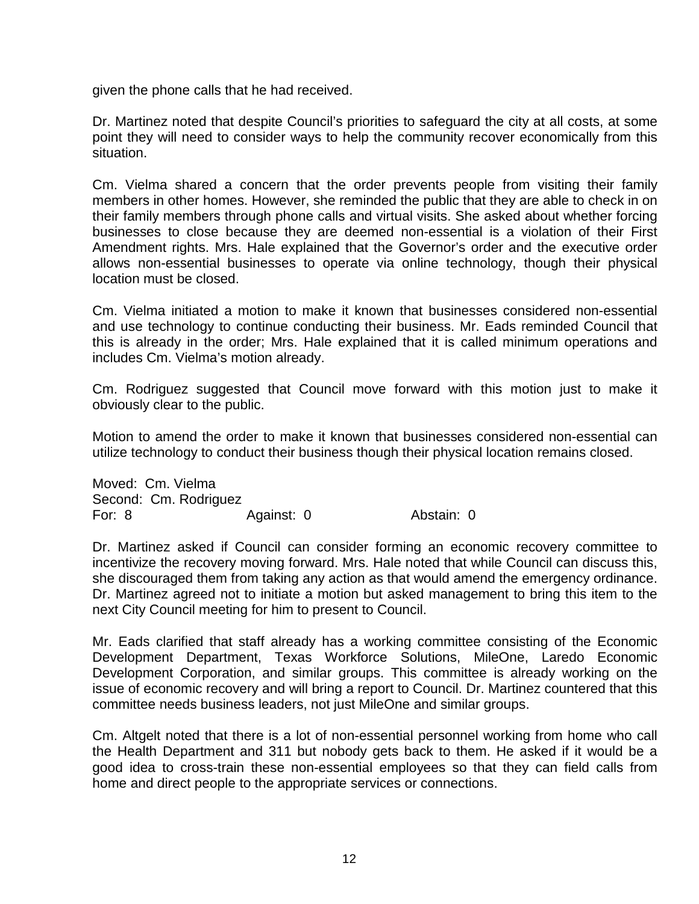given the phone calls that he had received.

Dr. Martinez noted that despite Council's priorities to safeguard the city at all costs, at some point they will need to consider ways to help the community recover economically from this situation.

Cm. Vielma shared a concern that the order prevents people from visiting their family members in other homes. However, she reminded the public that they are able to check in on their family members through phone calls and virtual visits. She asked about whether forcing businesses to close because they are deemed non-essential is a violation of their First Amendment rights. Mrs. Hale explained that the Governor's order and the executive order allows non-essential businesses to operate via online technology, though their physical location must be closed.

Cm. Vielma initiated a motion to make it known that businesses considered non-essential and use technology to continue conducting their business. Mr. Eads reminded Council that this is already in the order; Mrs. Hale explained that it is called minimum operations and includes Cm. Vielma's motion already.

Cm. Rodriguez suggested that Council move forward with this motion just to make it obviously clear to the public.

Motion to amend the order to make it known that businesses considered non-essential can utilize technology to conduct their business though their physical location remains closed.

Moved: Cm. Vielma Second: Cm. Rodriguez For: 8 **Against: 0** Abstain: 0

Dr. Martinez asked if Council can consider forming an economic recovery committee to incentivize the recovery moving forward. Mrs. Hale noted that while Council can discuss this, she discouraged them from taking any action as that would amend the emergency ordinance. Dr. Martinez agreed not to initiate a motion but asked management to bring this item to the next City Council meeting for him to present to Council.

Mr. Eads clarified that staff already has a working committee consisting of the Economic Development Department, Texas Workforce Solutions, MileOne, Laredo Economic Development Corporation, and similar groups. This committee is already working on the issue of economic recovery and will bring a report to Council. Dr. Martinez countered that this committee needs business leaders, not just MileOne and similar groups.

Cm. Altgelt noted that there is a lot of non-essential personnel working from home who call the Health Department and 311 but nobody gets back to them. He asked if it would be a good idea to cross-train these non-essential employees so that they can field calls from home and direct people to the appropriate services or connections.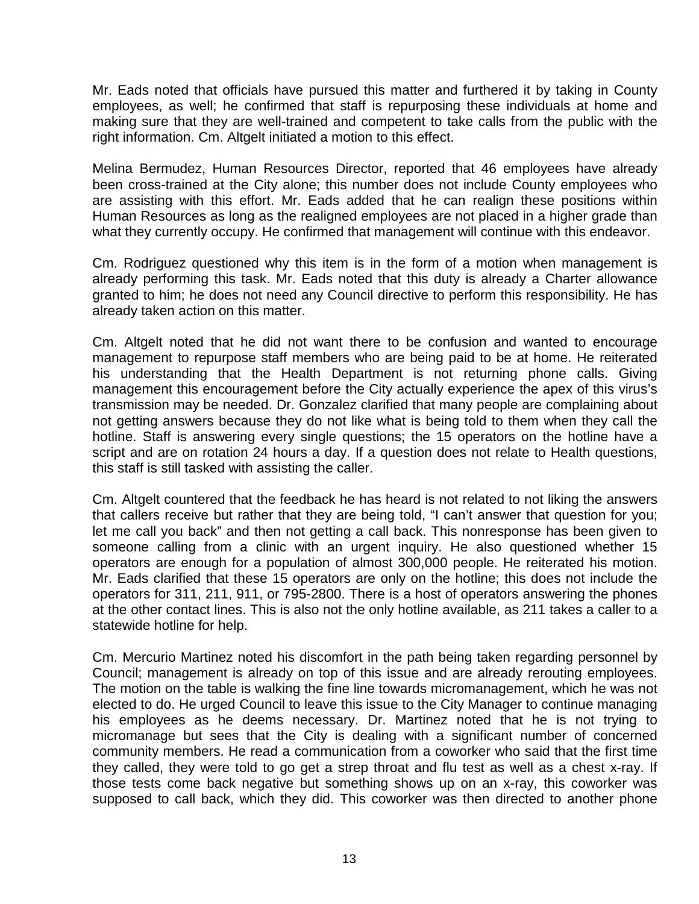Mr. Eads noted that officials have pursued this matter and furthered it by taking in County employees, as well; he confirmed that staff is repurposing these individuals at home and making sure that they are well-trained and competent to take calls from the public with the right information. Cm. Altgelt initiated a motion to this effect.

Melina Bermudez, Human Resources Director, reported that 46 employees have already been cross-trained at the City alone; this number does not include County employees who are assisting with this effort. Mr. Eads added that he can realign these positions within Human Resources as long as the realigned employees are not placed in a higher grade than what they currently occupy. He confirmed that management will continue with this endeavor.

Cm. Rodriguez questioned why this item is in the form of a motion when management is already performing this task. Mr. Eads noted that this duty is already a Charter allowance granted to him; he does not need any Council directive to perform this responsibility. He has already taken action on this matter.

Cm. Altgelt noted that he did not want there to be confusion and wanted to encourage management to repurpose staff members who are being paid to be at home. He reiterated his understanding that the Health Department is not returning phone calls. Giving management this encouragement before the City actually experience the apex of this virus's transmission may be needed. Dr. Gonzalez clarified that many people are complaining about not getting answers because they do not like what is being told to them when they call the hotline. Staff is answering every single questions; the 15 operators on the hotline have a script and are on rotation 24 hours a day. If a question does not relate to Health questions, this staff is still tasked with assisting the caller.

Cm. Altgelt countered that the feedback he has heard is not related to not liking the answers that callers receive but rather that they are being told, "I can't answer that question for you; let me call you back" and then not getting a call back. This nonresponse has been given to someone calling from a clinic with an urgent inquiry. He also questioned whether 15 operators are enough for a population of almost 300,000 people. He reiterated his motion. Mr. Eads clarified that these 15 operators are only on the hotline; this does not include the operators for 311, 211, 911, or 795-2800. There is a host of operators answering the phones at the other contact lines. This is also not the only hotline available, as 211 takes a caller to a statewide hotline for help.

Cm. Mercurio Martinez noted his discomfort in the path being taken regarding personnel by Council; management is already on top of this issue and are already rerouting employees. The motion on the table is walking the fine line towards micromanagement, which he was not elected to do. He urged Council to leave this issue to the City Manager to continue managing his employees as he deems necessary. Dr. Martinez noted that he is not trying to micromanage but sees that the City is dealing with a significant number of concerned community members. He read a communication from a coworker who said that the first time they called, they were told to go get a strep throat and flu test as well as a chest x-ray. If those tests come back negative but something shows up on an x-ray, this coworker was supposed to call back, which they did. This coworker was then directed to another phone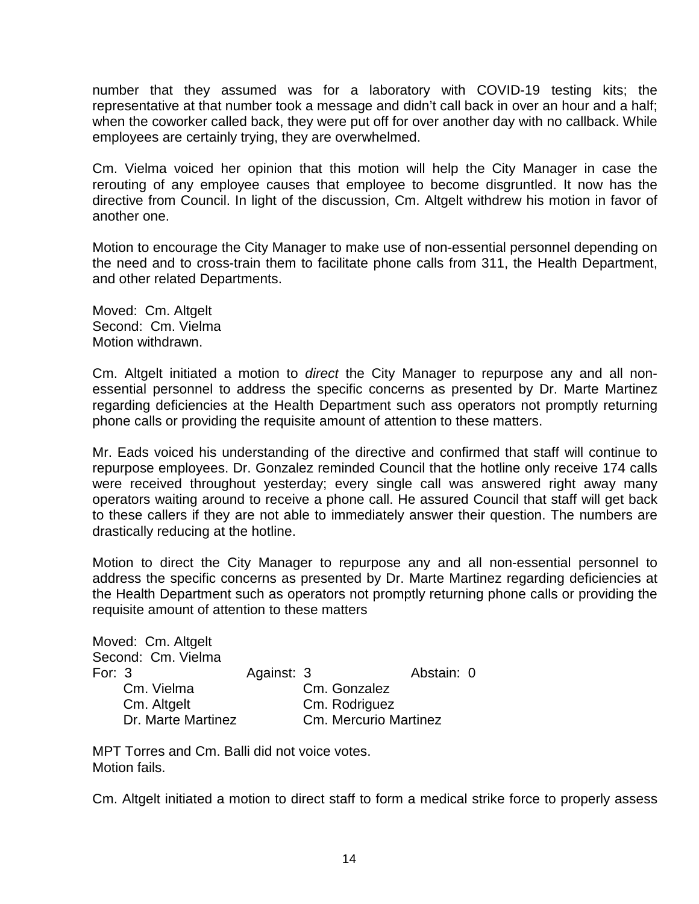number that they assumed was for a laboratory with COVID-19 testing kits; the representative at that number took a message and didn't call back in over an hour and a half; when the coworker called back, they were put off for over another day with no callback. While employees are certainly trying, they are overwhelmed.

Cm. Vielma voiced her opinion that this motion will help the City Manager in case the rerouting of any employee causes that employee to become disgruntled. It now has the directive from Council. In light of the discussion, Cm. Altgelt withdrew his motion in favor of another one.

Motion to encourage the City Manager to make use of non-essential personnel depending on the need and to cross-train them to facilitate phone calls from 311, the Health Department, and other related Departments.

Moved: Cm. Altgelt Second: Cm. Vielma Motion withdrawn.

Cm. Altgelt initiated a motion to *direct* the City Manager to repurpose any and all nonessential personnel to address the specific concerns as presented by Dr. Marte Martinez regarding deficiencies at the Health Department such ass operators not promptly returning phone calls or providing the requisite amount of attention to these matters.

Mr. Eads voiced his understanding of the directive and confirmed that staff will continue to repurpose employees. Dr. Gonzalez reminded Council that the hotline only receive 174 calls were received throughout yesterday; every single call was answered right away many operators waiting around to receive a phone call. He assured Council that staff will get back to these callers if they are not able to immediately answer their question. The numbers are drastically reducing at the hotline.

Motion to direct the City Manager to repurpose any and all non-essential personnel to address the specific concerns as presented by Dr. Marte Martinez regarding deficiencies at the Health Department such as operators not promptly returning phone calls or providing the requisite amount of attention to these matters

|                    | Moved: Cm. Altgelt |            |                       |            |  |
|--------------------|--------------------|------------|-----------------------|------------|--|
|                    | Second: Cm. Vielma |            |                       |            |  |
| For: $3$           |                    | Against: 3 |                       | Abstain: 0 |  |
|                    | Cm. Vielma         |            | Cm. Gonzalez          |            |  |
|                    | Cm. Altgelt        |            | Cm. Rodriguez         |            |  |
| Dr. Marte Martinez |                    |            | Cm. Mercurio Martinez |            |  |

MPT Torres and Cm. Balli did not voice votes. Motion fails.

Cm. Altgelt initiated a motion to direct staff to form a medical strike force to properly assess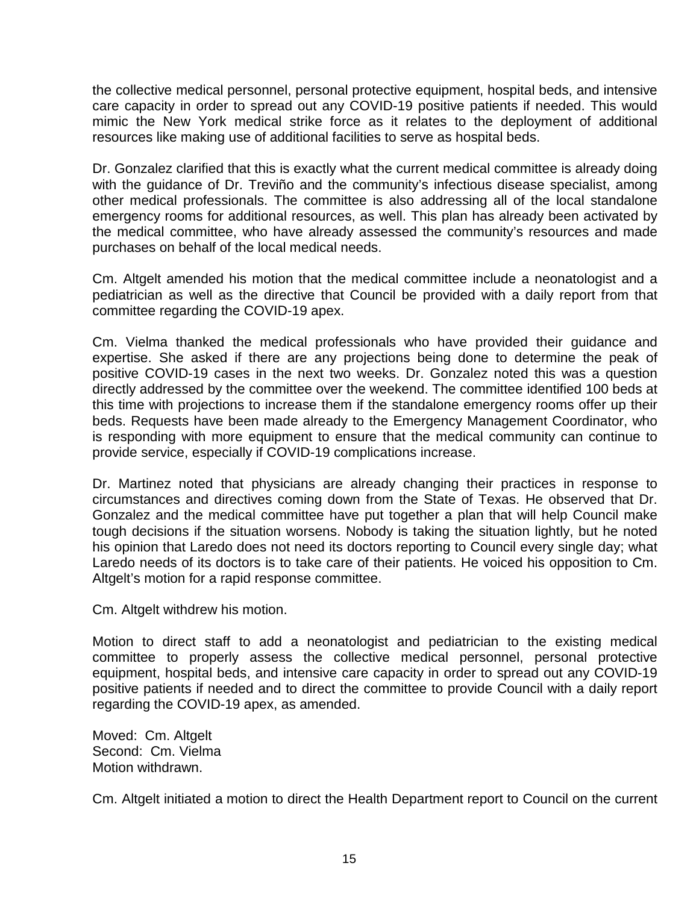the collective medical personnel, personal protective equipment, hospital beds, and intensive care capacity in order to spread out any COVID-19 positive patients if needed. This would mimic the New York medical strike force as it relates to the deployment of additional resources like making use of additional facilities to serve as hospital beds.

Dr. Gonzalez clarified that this is exactly what the current medical committee is already doing with the guidance of Dr. Treviño and the community's infectious disease specialist, among other medical professionals. The committee is also addressing all of the local standalone emergency rooms for additional resources, as well. This plan has already been activated by the medical committee, who have already assessed the community's resources and made purchases on behalf of the local medical needs.

Cm. Altgelt amended his motion that the medical committee include a neonatologist and a pediatrician as well as the directive that Council be provided with a daily report from that committee regarding the COVID-19 apex.

Cm. Vielma thanked the medical professionals who have provided their guidance and expertise. She asked if there are any projections being done to determine the peak of positive COVID-19 cases in the next two weeks. Dr. Gonzalez noted this was a question directly addressed by the committee over the weekend. The committee identified 100 beds at this time with projections to increase them if the standalone emergency rooms offer up their beds. Requests have been made already to the Emergency Management Coordinator, who is responding with more equipment to ensure that the medical community can continue to provide service, especially if COVID-19 complications increase.

Dr. Martinez noted that physicians are already changing their practices in response to circumstances and directives coming down from the State of Texas. He observed that Dr. Gonzalez and the medical committee have put together a plan that will help Council make tough decisions if the situation worsens. Nobody is taking the situation lightly, but he noted his opinion that Laredo does not need its doctors reporting to Council every single day; what Laredo needs of its doctors is to take care of their patients. He voiced his opposition to Cm. Altgelt's motion for a rapid response committee.

Cm. Altgelt withdrew his motion.

Motion to direct staff to add a neonatologist and pediatrician to the existing medical committee to properly assess the collective medical personnel, personal protective equipment, hospital beds, and intensive care capacity in order to spread out any COVID-19 positive patients if needed and to direct the committee to provide Council with a daily report regarding the COVID-19 apex, as amended.

Moved: Cm. Altgelt Second: Cm. Vielma Motion withdrawn.

Cm. Altgelt initiated a motion to direct the Health Department report to Council on the current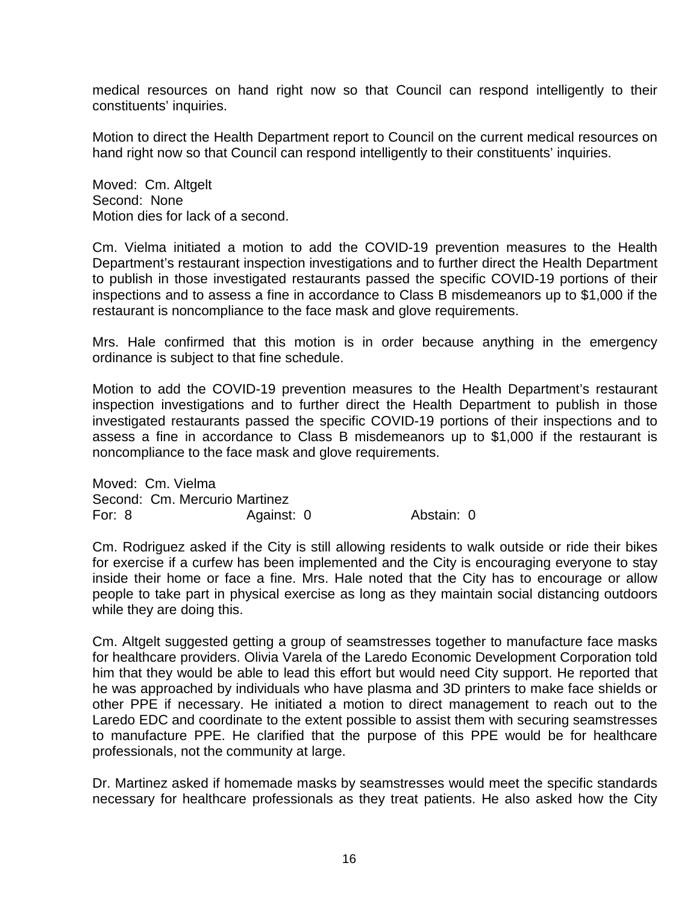medical resources on hand right now so that Council can respond intelligently to their constituents' inquiries.

Motion to direct the Health Department report to Council on the current medical resources on hand right now so that Council can respond intelligently to their constituents' inquiries.

Moved: Cm. Altgelt Second: None Motion dies for lack of a second.

Cm. Vielma initiated a motion to add the COVID-19 prevention measures to the Health Department's restaurant inspection investigations and to further direct the Health Department to publish in those investigated restaurants passed the specific COVID-19 portions of their inspections and to assess a fine in accordance to Class B misdemeanors up to \$1,000 if the restaurant is noncompliance to the face mask and glove requirements.

Mrs. Hale confirmed that this motion is in order because anything in the emergency ordinance is subject to that fine schedule.

Motion to add the COVID-19 prevention measures to the Health Department's restaurant inspection investigations and to further direct the Health Department to publish in those investigated restaurants passed the specific COVID-19 portions of their inspections and to assess a fine in accordance to Class B misdemeanors up to \$1,000 if the restaurant is noncompliance to the face mask and glove requirements.

Moved: Cm. Vielma Second: Cm. Mercurio Martinez For: 8 Against: 0 Abstain: 0

Cm. Rodriguez asked if the City is still allowing residents to walk outside or ride their bikes for exercise if a curfew has been implemented and the City is encouraging everyone to stay inside their home or face a fine. Mrs. Hale noted that the City has to encourage or allow people to take part in physical exercise as long as they maintain social distancing outdoors while they are doing this.

Cm. Altgelt suggested getting a group of seamstresses together to manufacture face masks for healthcare providers. Olivia Varela of the Laredo Economic Development Corporation told him that they would be able to lead this effort but would need City support. He reported that he was approached by individuals who have plasma and 3D printers to make face shields or other PPE if necessary. He initiated a motion to direct management to reach out to the Laredo EDC and coordinate to the extent possible to assist them with securing seamstresses to manufacture PPE. He clarified that the purpose of this PPE would be for healthcare professionals, not the community at large.

Dr. Martinez asked if homemade masks by seamstresses would meet the specific standards necessary for healthcare professionals as they treat patients. He also asked how the City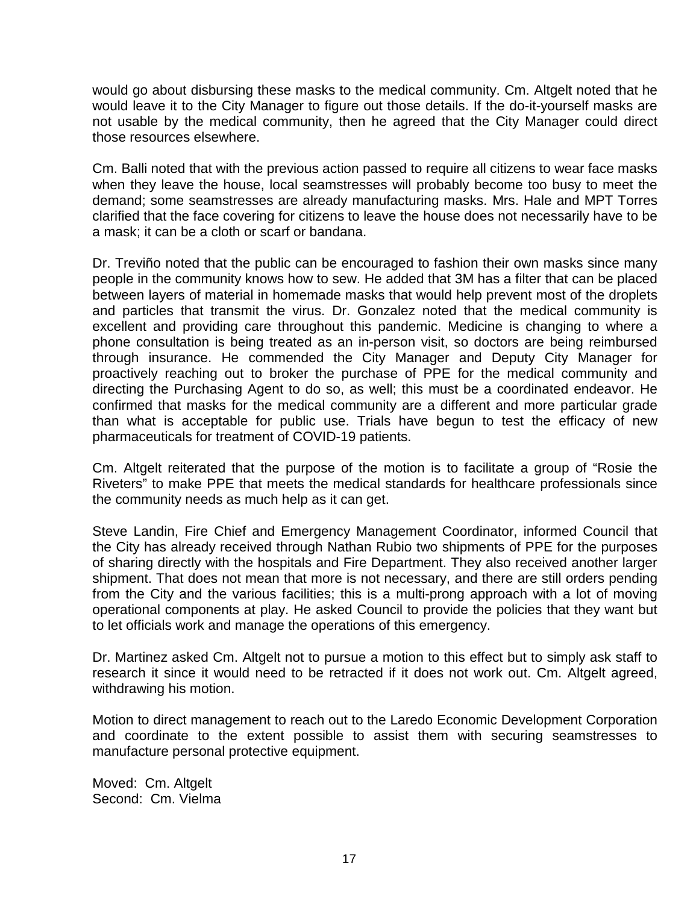would go about disbursing these masks to the medical community. Cm. Altgelt noted that he would leave it to the City Manager to figure out those details. If the do-it-yourself masks are not usable by the medical community, then he agreed that the City Manager could direct those resources elsewhere.

Cm. Balli noted that with the previous action passed to require all citizens to wear face masks when they leave the house, local seamstresses will probably become too busy to meet the demand; some seamstresses are already manufacturing masks. Mrs. Hale and MPT Torres clarified that the face covering for citizens to leave the house does not necessarily have to be a mask; it can be a cloth or scarf or bandana.

Dr. Treviño noted that the public can be encouraged to fashion their own masks since many people in the community knows how to sew. He added that 3M has a filter that can be placed between layers of material in homemade masks that would help prevent most of the droplets and particles that transmit the virus. Dr. Gonzalez noted that the medical community is excellent and providing care throughout this pandemic. Medicine is changing to where a phone consultation is being treated as an in-person visit, so doctors are being reimbursed through insurance. He commended the City Manager and Deputy City Manager for proactively reaching out to broker the purchase of PPE for the medical community and directing the Purchasing Agent to do so, as well; this must be a coordinated endeavor. He confirmed that masks for the medical community are a different and more particular grade than what is acceptable for public use. Trials have begun to test the efficacy of new pharmaceuticals for treatment of COVID-19 patients.

Cm. Altgelt reiterated that the purpose of the motion is to facilitate a group of "Rosie the Riveters" to make PPE that meets the medical standards for healthcare professionals since the community needs as much help as it can get.

Steve Landin, Fire Chief and Emergency Management Coordinator, informed Council that the City has already received through Nathan Rubio two shipments of PPE for the purposes of sharing directly with the hospitals and Fire Department. They also received another larger shipment. That does not mean that more is not necessary, and there are still orders pending from the City and the various facilities; this is a multi-prong approach with a lot of moving operational components at play. He asked Council to provide the policies that they want but to let officials work and manage the operations of this emergency.

Dr. Martinez asked Cm. Altgelt not to pursue a motion to this effect but to simply ask staff to research it since it would need to be retracted if it does not work out. Cm. Altgelt agreed, withdrawing his motion.

Motion to direct management to reach out to the Laredo Economic Development Corporation and coordinate to the extent possible to assist them with securing seamstresses to manufacture personal protective equipment.

Moved: Cm. Altgelt Second: Cm. Vielma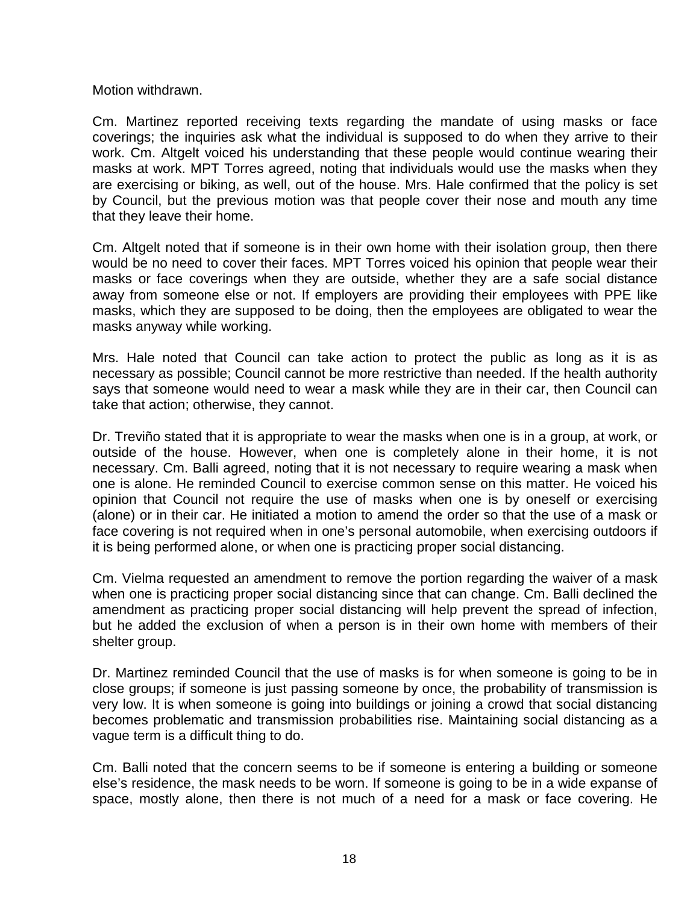Motion withdrawn.

Cm. Martinez reported receiving texts regarding the mandate of using masks or face coverings; the inquiries ask what the individual is supposed to do when they arrive to their work. Cm. Altgelt voiced his understanding that these people would continue wearing their masks at work. MPT Torres agreed, noting that individuals would use the masks when they are exercising or biking, as well, out of the house. Mrs. Hale confirmed that the policy is set by Council, but the previous motion was that people cover their nose and mouth any time that they leave their home.

Cm. Altgelt noted that if someone is in their own home with their isolation group, then there would be no need to cover their faces. MPT Torres voiced his opinion that people wear their masks or face coverings when they are outside, whether they are a safe social distance away from someone else or not. If employers are providing their employees with PPE like masks, which they are supposed to be doing, then the employees are obligated to wear the masks anyway while working.

Mrs. Hale noted that Council can take action to protect the public as long as it is as necessary as possible; Council cannot be more restrictive than needed. If the health authority says that someone would need to wear a mask while they are in their car, then Council can take that action; otherwise, they cannot.

Dr. Treviño stated that it is appropriate to wear the masks when one is in a group, at work, or outside of the house. However, when one is completely alone in their home, it is not necessary. Cm. Balli agreed, noting that it is not necessary to require wearing a mask when one is alone. He reminded Council to exercise common sense on this matter. He voiced his opinion that Council not require the use of masks when one is by oneself or exercising (alone) or in their car. He initiated a motion to amend the order so that the use of a mask or face covering is not required when in one's personal automobile, when exercising outdoors if it is being performed alone, or when one is practicing proper social distancing.

Cm. Vielma requested an amendment to remove the portion regarding the waiver of a mask when one is practicing proper social distancing since that can change. Cm. Balli declined the amendment as practicing proper social distancing will help prevent the spread of infection, but he added the exclusion of when a person is in their own home with members of their shelter group.

Dr. Martinez reminded Council that the use of masks is for when someone is going to be in close groups; if someone is just passing someone by once, the probability of transmission is very low. It is when someone is going into buildings or joining a crowd that social distancing becomes problematic and transmission probabilities rise. Maintaining social distancing as a vague term is a difficult thing to do.

Cm. Balli noted that the concern seems to be if someone is entering a building or someone else's residence, the mask needs to be worn. If someone is going to be in a wide expanse of space, mostly alone, then there is not much of a need for a mask or face covering. He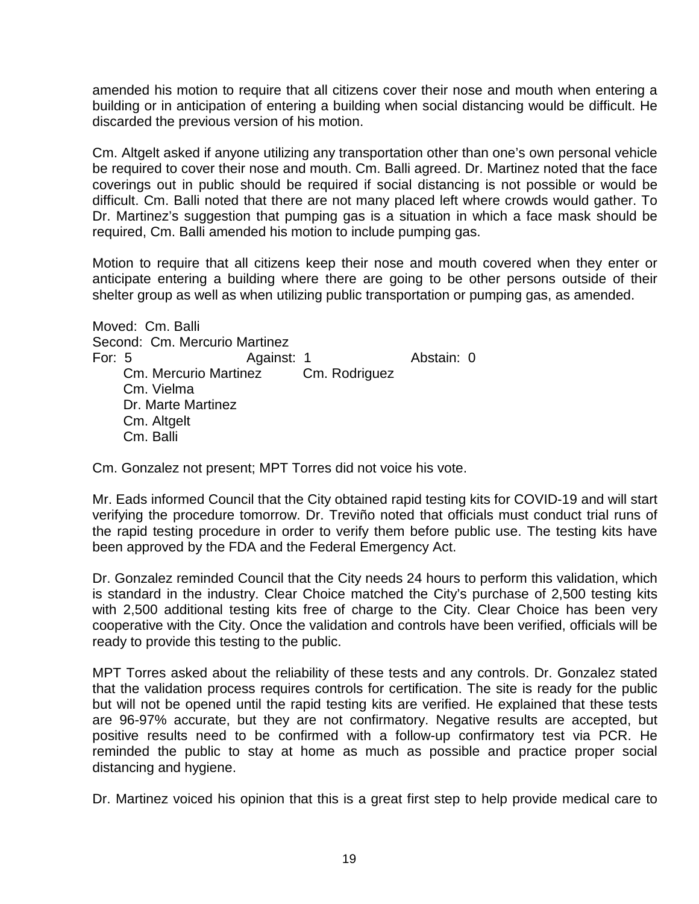amended his motion to require that all citizens cover their nose and mouth when entering a building or in anticipation of entering a building when social distancing would be difficult. He discarded the previous version of his motion.

Cm. Altgelt asked if anyone utilizing any transportation other than one's own personal vehicle be required to cover their nose and mouth. Cm. Balli agreed. Dr. Martinez noted that the face coverings out in public should be required if social distancing is not possible or would be difficult. Cm. Balli noted that there are not many placed left where crowds would gather. To Dr. Martinez's suggestion that pumping gas is a situation in which a face mask should be required, Cm. Balli amended his motion to include pumping gas.

Motion to require that all citizens keep their nose and mouth covered when they enter or anticipate entering a building where there are going to be other persons outside of their shelter group as well as when utilizing public transportation or pumping gas, as amended.

Moved: Cm. Balli Second: Cm. Mercurio Martinez For: 5 Against: 1 Abstain: 0 Cm. Mercurio Martinez Cm. Rodriguez Cm. Vielma Dr. Marte Martinez Cm. Altgelt Cm. Balli

Cm. Gonzalez not present; MPT Torres did not voice his vote.

Mr. Eads informed Council that the City obtained rapid testing kits for COVID-19 and will start verifying the procedure tomorrow. Dr. Treviño noted that officials must conduct trial runs of the rapid testing procedure in order to verify them before public use. The testing kits have been approved by the FDA and the Federal Emergency Act.

Dr. Gonzalez reminded Council that the City needs 24 hours to perform this validation, which is standard in the industry. Clear Choice matched the City's purchase of 2,500 testing kits with 2,500 additional testing kits free of charge to the City. Clear Choice has been very cooperative with the City. Once the validation and controls have been verified, officials will be ready to provide this testing to the public.

MPT Torres asked about the reliability of these tests and any controls. Dr. Gonzalez stated that the validation process requires controls for certification. The site is ready for the public but will not be opened until the rapid testing kits are verified. He explained that these tests are 96-97% accurate, but they are not confirmatory. Negative results are accepted, but positive results need to be confirmed with a follow-up confirmatory test via PCR. He reminded the public to stay at home as much as possible and practice proper social distancing and hygiene.

Dr. Martinez voiced his opinion that this is a great first step to help provide medical care to